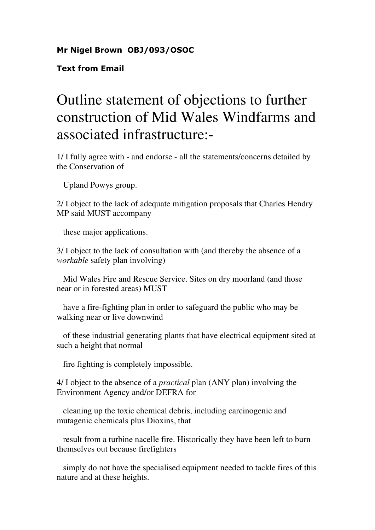## Mr Nigel Brown OBJ/093/OSOC

Text from Email

## Outline statement of objections to further construction of Mid Wales Windfarms and associated infrastructure:-

1/ I fully agree with - and endorse - all the statements/concerns detailed by the Conservation of

Upland Powys group.

2/ I object to the lack of adequate mitigation proposals that Charles Hendry MP said MUST accompany

these major applications.

3/ I object to the lack of consultation with (and thereby the absence of a *workable* safety plan involving)

 Mid Wales Fire and Rescue Service. Sites on dry moorland (and those near or in forested areas) MUST

 have a fire-fighting plan in order to safeguard the public who may be walking near or live downwind

 of these industrial generating plants that have electrical equipment sited at such a height that normal

fire fighting is completely impossible.

4/ I object to the absence of a *practical* plan (ANY plan) involving the Environment Agency and/or DEFRA for

 cleaning up the toxic chemical debris, including carcinogenic and mutagenic chemicals plus Dioxins, that

 result from a turbine nacelle fire. Historically they have been left to burn themselves out because firefighters

 simply do not have the specialised equipment needed to tackle fires of this nature and at these heights.